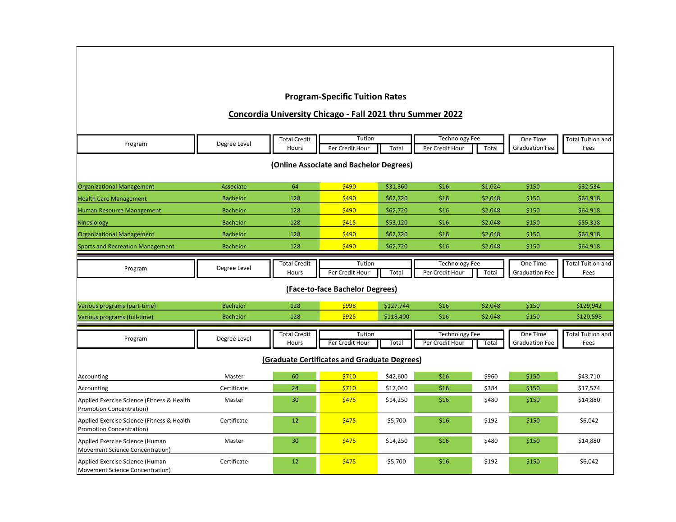## Program-Specific Tuition Rates

## Concordia University Chicago - Fall 2021 thru Summer 2022

| Program                                                                       | Degree Level    | <b>Total Credit</b>          | Tution                    |           | <b>Technology Fee</b>                    |         | One Time                          | <b>Total Tuition and</b>         |  |  |  |  |
|-------------------------------------------------------------------------------|-----------------|------------------------------|---------------------------|-----------|------------------------------------------|---------|-----------------------------------|----------------------------------|--|--|--|--|
|                                                                               |                 | Hours                        | Per Credit Hour           | Total     | Per Credit Hour                          | Total   | <b>Graduation Fee</b>             | Fees                             |  |  |  |  |
| (Online Associate and Bachelor Degrees)                                       |                 |                              |                           |           |                                          |         |                                   |                                  |  |  |  |  |
| <b>Organizational Management</b>                                              | Associate       | 64                           | \$490                     | \$31,360  | \$16                                     | \$1,024 | \$150                             | \$32,534                         |  |  |  |  |
| <b>Health Care Management</b>                                                 | <b>Bachelor</b> | 128                          | \$490                     | \$62,720  | \$16                                     | \$2,048 | \$150                             | \$64,918                         |  |  |  |  |
| <b>Human Resource Management</b>                                              | <b>Bachelor</b> | 128                          | \$490                     | \$62,720  | \$16                                     | \$2,048 | \$150                             | \$64,918                         |  |  |  |  |
| Kinesiology                                                                   | <b>Bachelor</b> | 128                          | \$415                     | \$53,120  | \$16                                     | \$2,048 | \$150                             | \$55,318                         |  |  |  |  |
| <b>Organizational Management</b>                                              | <b>Bachelor</b> | 128                          | \$490                     | \$62,720  | \$16                                     | \$2,048 | \$150                             | \$64,918                         |  |  |  |  |
| <b>Sports and Recreation Management</b>                                       | <b>Bachelor</b> | 128                          | \$490                     | \$62,720  | \$16                                     | \$2,048 | \$150                             | \$64,918                         |  |  |  |  |
| Program                                                                       | Degree Level    | <b>Total Credit</b><br>Hours | Tution<br>Per Credit Hour | Total     | <b>Technology Fee</b><br>Per Credit Hour | Total   | One Time<br><b>Graduation Fee</b> | <b>Total Tuition and</b><br>Fees |  |  |  |  |
| (Face-to-face Bachelor Degrees)                                               |                 |                              |                           |           |                                          |         |                                   |                                  |  |  |  |  |
| Various programs (part-time)                                                  | <b>Bachelor</b> | 128                          | \$998                     | \$127,744 | \$16                                     | \$2,048 | \$150                             | \$129,942                        |  |  |  |  |
| Various programs (full-time)                                                  | <b>Bachelor</b> | 128                          | \$925                     | \$118,400 | \$16                                     | \$2,048 | \$150                             | \$120,598                        |  |  |  |  |
| Program                                                                       | Degree Level    | <b>Total Credit</b><br>Hours | Tution<br>Per Credit Hour | Total     | <b>Technology Fee</b><br>Per Credit Hour | Total   | One Time<br><b>Graduation Fee</b> | <b>Total Tuition and</b><br>Fees |  |  |  |  |
| (Graduate Certificates and Graduate Degrees)                                  |                 |                              |                           |           |                                          |         |                                   |                                  |  |  |  |  |
| Accounting                                                                    | Master          | 60                           | \$710                     | \$42,600  | \$16                                     | \$960   | \$150                             | \$43,710                         |  |  |  |  |
| Accounting                                                                    | Certificate     | 24                           | \$710                     | \$17,040  | \$16                                     | \$384   | \$150                             | \$17,574                         |  |  |  |  |
| Applied Exercise Science (Fitness & Health<br><b>Promotion Concentration)</b> | Master          | 30                           | \$475                     | \$14,250  | \$16                                     | \$480   | \$150                             | \$14,880                         |  |  |  |  |
| Applied Exercise Science (Fitness & Health<br><b>Promotion Concentration)</b> | Certificate     | 12                           | \$475                     | \$5,700   | \$16                                     | \$192   | \$150                             | \$6,042                          |  |  |  |  |
| Applied Exercise Science (Human<br>Movement Science Concentration)            | Master          | 30                           | \$475                     | \$14,250  | \$16                                     | \$480   | \$150                             | \$14,880                         |  |  |  |  |
| Applied Exercise Science (Human<br>Movement Science Concentration)            | Certificate     | 12                           | \$475                     | \$5,700   | \$16                                     | \$192   | \$150                             | \$6,042                          |  |  |  |  |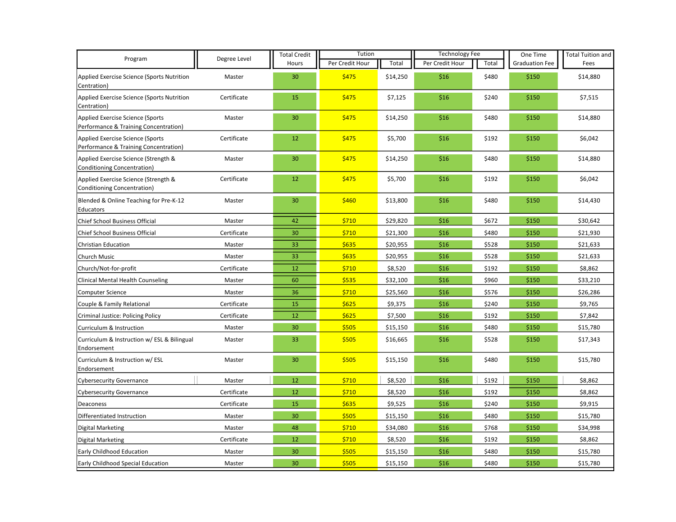| Program                                                                   | Degree Level | <b>Total Credit</b> | Tution          |          | <b>Technology Fee</b> |       | One Time              | <b>Total Tuition and</b> |
|---------------------------------------------------------------------------|--------------|---------------------|-----------------|----------|-----------------------|-------|-----------------------|--------------------------|
|                                                                           |              | Hours               | Per Credit Hour | Total    | Per Credit Hour       | Total | <b>Graduation Fee</b> | Fees                     |
| Applied Exercise Science (Sports Nutrition<br>Centration)                 | Master       | 30                  | \$475           | \$14,250 | \$16                  | \$480 | \$150                 | \$14,880                 |
| Applied Exercise Science (Sports Nutrition<br>Centration)                 | Certificate  | 15                  | \$475           | \$7,125  | \$16                  | \$240 | \$150                 | \$7,515                  |
| Applied Exercise Science (Sports<br>Performance & Training Concentration) | Master       | 30                  | \$475           | \$14,250 | \$16                  | \$480 | \$150                 | \$14,880                 |
| Applied Exercise Science (Sports<br>Performance & Training Concentration) | Certificate  | 12                  | \$475           | \$5,700  | \$16                  | \$192 | \$150                 | \$6,042                  |
| Applied Exercise Science (Strength &<br>Conditioning Concentration)       | Master       | 30                  | \$475           | \$14,250 | \$16                  | \$480 | \$150                 | \$14,880                 |
| Applied Exercise Science (Strength &<br>Conditioning Concentration)       | Certificate  | 12                  | \$475           | \$5,700  | \$16                  | \$192 | \$150                 | \$6,042                  |
| Blended & Online Teaching for Pre-K-12<br>Educators                       | Master       | 30                  | \$460           | \$13,800 | \$16                  | \$480 | \$150                 | \$14,430                 |
| Chief School Business Official                                            | Master       | 42                  | \$710           | \$29,820 | \$16                  | \$672 | \$150                 | \$30,642                 |
| Chief School Business Official                                            | Certificate  | 30                  | \$710           | \$21,300 | \$16                  | \$480 | \$150                 | \$21,930                 |
| <b>Christian Education</b>                                                | Master       | 33                  | \$635           | \$20,955 | \$16                  | \$528 | \$150                 | \$21,633                 |
| Church Music                                                              | Master       | 33                  | \$635           | \$20,955 | \$16                  | \$528 | \$150                 | \$21,633                 |
| Church/Not-for-profit                                                     | Certificate  | 12                  | \$710           | \$8,520  | \$16                  | \$192 | \$150                 | \$8,862                  |
| <b>Clinical Mental Health Counseling</b>                                  | Master       | 60                  | \$535           | \$32,100 | \$16                  | \$960 | \$150                 | \$33,210                 |
| <b>Computer Science</b>                                                   | Master       | 36                  | \$710           | \$25,560 | \$16                  | \$576 | \$150                 | \$26,286                 |
| Couple & Family Relational                                                | Certificate  | 15                  | \$625           | \$9,375  | \$16                  | \$240 | \$150                 | \$9,765                  |
| Criminal Justice: Policing Policy                                         | Certificate  | 12                  | \$625           | \$7,500  | \$16                  | \$192 | \$150                 | \$7,842                  |
| Curriculum & Instruction                                                  | Master       | 30                  | \$505           | \$15,150 | \$16                  | \$480 | \$150                 | \$15,780                 |
| Curriculum & Instruction w/ ESL & Bilingual<br>Endorsement                | Master       | 33                  | \$505           | \$16,665 | \$16                  | \$528 | \$150                 | \$17,343                 |
| Curriculum & Instruction w/ ESL<br>Endorsement                            | Master       | 30                  | \$505           | \$15,150 | \$16                  | \$480 | \$150                 | \$15,780                 |
| <b>Cybersecurity Governance</b>                                           | Master       | 12                  | \$710           | \$8,520  | \$16                  | \$192 | \$150                 | \$8,862                  |
| <b>Cybersecurity Governance</b>                                           | Certificate  | 12                  | \$710           | \$8,520  | \$16                  | \$192 | \$150                 | \$8,862                  |
| Deaconess                                                                 | Certificate  | 15                  | \$635           | \$9,525  | \$16                  | \$240 | \$150                 | \$9,915                  |
| Differentiated Instruction                                                | Master       | 30                  | \$505           | \$15,150 | \$16                  | \$480 | \$150                 | \$15,780                 |
| <b>Digital Marketing</b>                                                  | Master       | 48                  | \$710           | \$34,080 | \$16                  | \$768 | \$150                 | \$34,998                 |
| <b>Digital Marketing</b>                                                  | Certificate  | 12                  | \$710           | \$8,520  | \$16                  | \$192 | \$150                 | \$8,862                  |
| Early Childhood Education                                                 | Master       | 30                  | \$505           | \$15,150 | \$16                  | \$480 | \$150                 | \$15,780                 |
| Early Childhood Special Education                                         | Master       | 30                  | \$505           | \$15,150 | \$16                  | \$480 | \$150                 | \$15,780                 |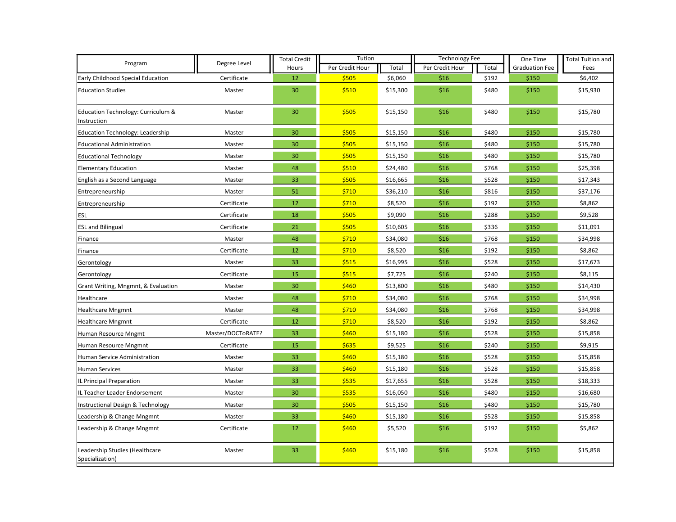| Program                                           | Degree Level      | <b>Total Credit</b> | Tution          |          | <b>Technology Fee</b> |       | One Time              | <b>Total Tuition and</b> |
|---------------------------------------------------|-------------------|---------------------|-----------------|----------|-----------------------|-------|-----------------------|--------------------------|
|                                                   |                   | Hours               | Per Credit Hour | Total    | Per Credit Hour       | Total | <b>Graduation Fee</b> | Fees                     |
| Early Childhood Special Education                 | Certificate       | 12                  | \$505           | \$6,060  | \$16                  | \$192 | \$150                 | \$6,402                  |
| <b>Education Studies</b>                          | Master            | 30                  | \$510           | \$15,300 | \$16                  | \$480 | \$150                 | \$15,930                 |
| Education Technology: Curriculum &<br>Instruction | Master            | 30                  | \$505           | \$15,150 | \$16                  | \$480 | \$150                 | \$15,780                 |
| Education Technology: Leadership                  | Master            | 30                  | \$505           | \$15,150 | \$16                  | \$480 | \$150                 | \$15,780                 |
| <b>Educational Administration</b>                 | Master            | 30                  | \$505           | \$15,150 | \$16                  | \$480 | \$150                 | \$15,780                 |
| <b>Educational Technology</b>                     | Master            | 30                  | \$505           | \$15,150 | \$16                  | \$480 | \$150                 | \$15,780                 |
| <b>Elementary Education</b>                       | Master            | 48                  | \$510           | \$24,480 | \$16                  | \$768 | \$150                 | \$25,398                 |
| English as a Second Language                      | Master            | 33                  | \$505           | \$16,665 | \$16                  | \$528 | \$150                 | \$17,343                 |
| Entrepreneurship                                  | Master            | 51                  | \$710           | \$36,210 | \$16                  | \$816 | \$150                 | \$37,176                 |
| Entrepreneurship                                  | Certificate       | 12                  | \$710           | \$8,520  | \$16                  | \$192 | \$150                 | \$8,862                  |
| <b>ESL</b>                                        | Certificate       | 18                  | \$505           | \$9,090  | \$16                  | \$288 | \$150                 | \$9,528                  |
| <b>ESL and Bilingual</b>                          | Certificate       | 21                  | \$505           | \$10,605 | \$16                  | \$336 | \$150                 | \$11,091                 |
| Finance                                           | Master            | 48                  | \$710           | \$34,080 | \$16                  | \$768 | \$150                 | \$34,998                 |
| Finance                                           | Certificate       | 12                  | \$710           | \$8,520  | \$16                  | \$192 | \$150                 | \$8,862                  |
| Gerontology                                       | Master            | 33                  | \$515           | \$16,995 | \$16                  | \$528 | \$150                 | \$17,673                 |
| Gerontology                                       | Certificate       | 15                  | \$515           | \$7,725  | \$16                  | \$240 | \$150                 | \$8,115                  |
| Grant Writing, Mngmnt, & Evaluation               | Master            | 30                  | \$460           | \$13,800 | \$16                  | \$480 | \$150                 | \$14,430                 |
| Healthcare                                        | Master            | 48                  | \$710           | \$34,080 | \$16                  | \$768 | \$150                 | \$34,998                 |
| <b>Healthcare Mngmnt</b>                          | Master            | 48                  | \$710           | \$34,080 | \$16                  | \$768 | \$150                 | \$34,998                 |
| <b>Healthcare Mngmnt</b>                          | Certificate       | 12                  | \$710           | \$8,520  | \$16                  | \$192 | \$150                 | \$8,862                  |
| Human Resource Mngmt                              | Master/DOCToRATE? | 33                  | \$460           | \$15,180 | \$16                  | \$528 | \$150                 | \$15,858                 |
| Human Resource Mngmnt                             | Certificate       | 15                  | \$635           | \$9,525  | \$16                  | \$240 | \$150                 | \$9,915                  |
| Human Service Administration                      | Master            | 33                  | \$460           | \$15,180 | \$16                  | \$528 | \$150                 | \$15,858                 |
| <b>Human Services</b>                             | Master            | 33                  | \$460           | \$15,180 | \$16                  | \$528 | \$150                 | \$15,858                 |
| IL Principal Preparation                          | Master            | 33                  | \$535           | \$17,655 | \$16                  | \$528 | \$150                 | \$18,333                 |
| IL Teacher Leader Endorsement                     | Master            | 30                  | \$535           | \$16,050 | \$16                  | \$480 | \$150                 | \$16,680                 |
| Instructional Design & Technology                 | Master            | 30                  | \$505           | \$15,150 | \$16                  | \$480 | \$150                 | \$15,780                 |
| Leadership & Change Mngmnt                        | Master            | 33                  | \$460           | \$15,180 | \$16                  | \$528 | \$150                 | \$15,858                 |
| Leadership & Change Mngmnt                        | Certificate       | 12                  | \$460           | \$5,520  | \$16                  | \$192 | \$150                 | \$5,862                  |
| Leadership Studies (Healthcare<br>Specialization) | Master            | 33                  | \$460           | \$15,180 | \$16                  | \$528 | \$150                 | \$15,858                 |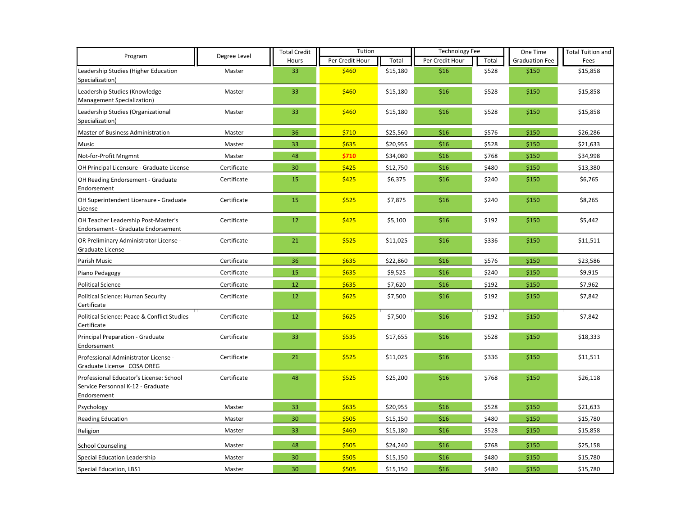|                                                                                             | Degree Level | <b>Total Credit</b><br>Hours | Tution          |          | <b>Technology Fee</b> |       | One Time              | <b>Total Tuition and</b> |
|---------------------------------------------------------------------------------------------|--------------|------------------------------|-----------------|----------|-----------------------|-------|-----------------------|--------------------------|
| Program                                                                                     |              |                              | Per Credit Hour | Total    | Per Credit Hour       | Total | <b>Graduation Fee</b> | Fees                     |
| Leadership Studies (Higher Education<br>Specialization)                                     | Master       | 33                           | \$460           | \$15,180 | \$16                  | \$528 | \$150                 | \$15,858                 |
| Leadership Studies (Knowledge<br>Management Specialization)                                 | Master       | 33                           | \$460           | \$15,180 | \$16                  | \$528 | \$150                 | \$15,858                 |
| Leadership Studies (Organizational<br>Specialization)                                       | Master       | 33                           | \$460           | \$15,180 | \$16                  | \$528 | \$150                 | \$15,858                 |
| Master of Business Administration                                                           | Master       | 36                           | \$710           | \$25,560 | \$16                  | \$576 | \$150                 | \$26,286                 |
| Music                                                                                       | Master       | 33                           | \$635           | \$20,955 | \$16                  | \$528 | \$150                 | \$21,633                 |
| Not-for-Profit Mngmnt                                                                       | Master       | 48                           | \$710           | \$34,080 | \$16                  | \$768 | \$150                 | \$34,998                 |
| OH Principal Licensure - Graduate License                                                   | Certificate  | 30                           | \$425           | \$12,750 | \$16                  | \$480 | \$150                 | \$13,380                 |
| OH Reading Endorsement - Graduate<br>Endorsement                                            | Certificate  | 15                           | \$425           | \$6,375  | \$16                  | \$240 | \$150                 | \$6,765                  |
| OH Superintendent Licensure - Graduate<br>License                                           | Certificate  | 15                           | \$525           | \$7,875  | \$16                  | \$240 | \$150                 | \$8,265                  |
| OH Teacher Leadership Post-Master's<br><b>Endorsement - Graduate Endorsement</b>            | Certificate  | 12                           | \$425           | \$5,100  | \$16                  | \$192 | \$150                 | \$5,442                  |
| OR Preliminary Administrator License -<br>Graduate License                                  | Certificate  | 21                           | \$525           | \$11,025 | \$16                  | \$336 | \$150                 | \$11,511                 |
| Parish Music                                                                                | Certificate  | 36                           | \$635           | \$22,860 | \$16                  | \$576 | \$150                 | \$23,586                 |
| Piano Pedagogy                                                                              | Certificate  | 15                           | \$635           | \$9,525  | \$16                  | \$240 | \$150                 | \$9,915                  |
| <b>Political Science</b>                                                                    | Certificate  | 12                           | \$635           | \$7,620  | \$16                  | \$192 | \$150                 | \$7,962                  |
| Political Science: Human Security<br>Certificate                                            | Certificate  | 12                           | \$625           | \$7,500  | \$16                  | \$192 | \$150                 | \$7,842                  |
| Political Science: Peace & Conflict Studies<br>Certificate                                  | Certificate  | 12                           | \$625           | \$7,500  | \$16                  | \$192 | \$150                 | \$7,842                  |
| Principal Preparation - Graduate<br>Endorsement                                             | Certificate  | 33                           | \$535           | \$17,655 | \$16                  | \$528 | \$150                 | \$18,333                 |
| Professional Administrator License -<br>Graduate License COSA OREG                          | Certificate  | 21                           | \$525           | \$11,025 | \$16                  | \$336 | \$150                 | \$11,511                 |
| Professional Educator's License: School<br>Service Personnal K-12 - Graduate<br>Endorsement | Certificate  | 48                           | \$525           | \$25,200 | \$16                  | \$768 | \$150                 | \$26,118                 |
| Psychology                                                                                  | Master       | 33                           | \$635           | \$20,955 | \$16                  | \$528 | \$150                 | \$21,633                 |
| <b>Reading Education</b>                                                                    | Master       | 30                           | \$505           | \$15,150 | \$16                  | \$480 | \$150                 | \$15,780                 |
| Religion                                                                                    | Master       | 33                           | \$460           | \$15,180 | \$16                  | \$528 | \$150                 | \$15,858                 |
| <b>School Counseling</b>                                                                    | Master       | 48                           | \$505           | \$24,240 | \$16                  | \$768 | \$150                 | \$25,158                 |
| Special Education Leadership                                                                | Master       | 30                           | \$505           | \$15,150 | \$16                  | \$480 | \$150                 | \$15,780                 |
| Special Education, LBS1                                                                     | Master       | 30                           | \$505           | \$15,150 | \$16                  | \$480 | \$150                 | \$15,780                 |